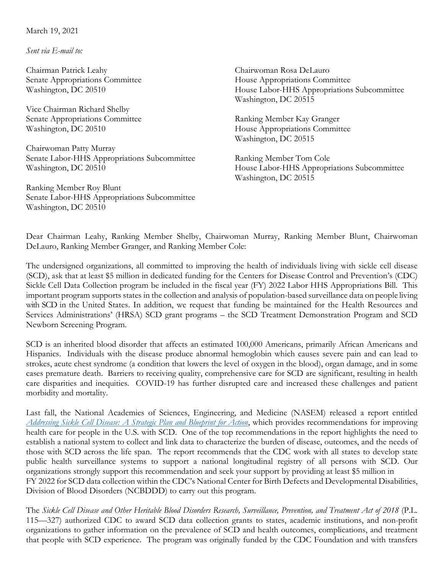March 19, 2021

*Sent via E-mail to:*

Chairman Patrick Leahy Senate Appropriations Committee Washington, DC 20510

Vice Chairman Richard Shelby Senate Appropriations Committee Washington, DC 20510

Chairwoman Patty Murray Senate Labor-HHS Appropriations Subcommittee Washington, DC 20510

Ranking Member Roy Blunt Senate Labor-HHS Appropriations Subcommittee Washington, DC 20510

Chairwoman Rosa DeLauro House Appropriations Committee House Labor-HHS Appropriations Subcommittee Washington, DC 20515

Ranking Member Kay Granger House Appropriations Committee Washington, DC 20515

Ranking Member Tom Cole House Labor-HHS Appropriations Subcommittee Washington, DC 20515

Dear Chairman Leahy, Ranking Member Shelby, Chairwoman Murray, Ranking Member Blunt, Chairwoman DeLauro, Ranking Member Granger, and Ranking Member Cole:

The undersigned organizations, all committed to improving the health of individuals living with sickle cell disease (SCD), ask that at least \$5 million in dedicated funding for the Centers for Disease Control and Prevention's (CDC) Sickle Cell Data Collection program be included in the fiscal year (FY) 2022 Labor HHS Appropriations Bill. This important program supports states in the collection and analysis of population-based surveillance data on people living with SCD in the United States. In addition, we request that funding be maintained for the Health Resources and Services Administrations' (HRSA) SCD grant programs – the SCD Treatment Demonstration Program and SCD Newborn Screening Program.

SCD is an inherited blood disorder that affects an estimated 100,000 Americans, primarily African Americans and Hispanics. Individuals with the disease produce abnormal hemoglobin which causes severe pain and can lead to strokes, acute chest syndrome (a condition that lowers the level of oxygen in the blood), organ damage, and in some cases premature death. Barriers to receiving quality, comprehensive care for SCD are significant, resulting in health care disparities and inequities. COVID-19 has further disrupted care and increased these challenges and patient morbidity and mortality.

Last fall, the National Academies of Sciences, Engineering, and Medicine (NASEM) released a report entitled *[Addressing Sickle Cell Disease: A Strategic Plan and Blueprint for Action](https://www.nationalacademies.org/our-work/addressing-sickle-cell-disease-a-strategic-plan-and-blueprint-for-action)*, which provides recommendations for improving health care for people in the U.S. with SCD. One of the top recommendations in the report highlights the need to establish a national system to collect and link data to characterize the burden of disease, outcomes, and the needs of those with SCD across the life span. The report recommends that the CDC work with all states to develop state public health surveillance systems to support a national longitudinal registry of all persons with SCD. Our organizations strongly support this recommendation and seek your support by providing at least \$5 million in FY 2022 for SCD data collection within the CDC's National Center for Birth Defects and Developmental Disabilities, Division of Blood Disorders (NCBDDD) to carry out this program.

The *Sickle Cell Disease and Other Heritable Blood Disorders Research, Surveillance, Prevention, and Treatment Act of 2018* (P.L. 115—327) authorized CDC to award SCD data collection grants to states, academic institutions, and non-profit organizations to gather information on the prevalence of SCD and health outcomes, complications, and treatment that people with SCD experience. The program was originally funded by the CDC Foundation and with transfers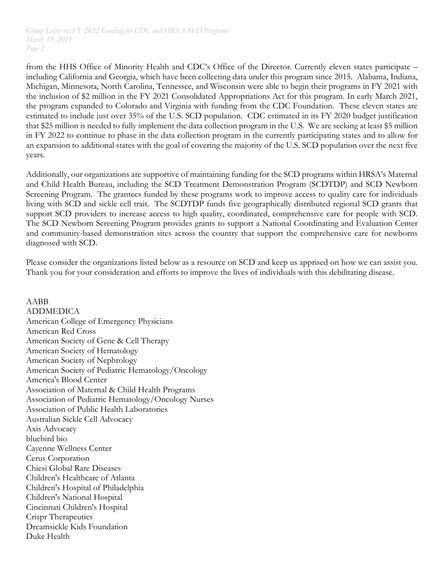from the HHS Office of Minority Health and CDC's Office of the Director. Currently eleven states participate – including California and Georgia, which have been collecting data under this program since 2015. Alabama, Indiana, Michigan, Minnesota, North Carolina, Tennessee, and Wisconsin were able to begin their programs in FY 2021 with the inclusion of \$2 million in the FY 2021 Consolidated Appropriations Act for this program. In early March 2021, the program expanded to Colorado and Virginia with funding from the CDC Foundation. These eleven states are estimated to include just over 35% of the U.S. SCD population. CDC estimated in its FY 2020 budget justification that \$25 million is needed to fully implement the data collection program in the U.S. We are seeking at least \$5 million in FY 2022 to continue to phase in the data collection program in the currently participating states and to allow for an expansion to additional states with the goal of covering the majority of the U.S. SCD population over the next five years.

Additionally, our organizations are supportive of maintaining funding for the SCD programs within HRSA's Maternal and Child Health Bureau, including the SCD Treatment Demonstration Program (SCDTDP) and SCD Newborn Screening Program. The grantees funded by these programs work to improve access to quality care for individuals living with SCD and sickle cell trait. The SCDTDP funds five geographically distributed regional SCD grants that support SCD providers to increase access to high quality, coordinated, comprehensive care for people with SCD. The SCD Newborn Screening Program provides grants to support a National Coordinating and Evaluation Center and community-based demonstration sites across the country that support the comprehensive care for newborns diagnosed with SCD.

Please consider the organizations listed below as a resource on SCD and keep us apprised on how we can assist you. Thank you for your consideration and efforts to improve the lives of individuals with this debilitating disease.

AABB ADDMEDICA American College of Emergency Physicians American Red Cross American Society of Gene & Cell Therapy American Society of Hematology American Society of Nephrology American Society of Pediatric Hematology/Oncology America's Blood Center Association of Maternal & Child Health Programs Association of Pediatric Hematology/Oncology Nurses Association of Public Health Laboratories Australian Sickle Cell Advocacy Axis Advocacy bluebird bio Cayenne Wellness Center Cerus Corporation Chiesi Global Rare Diseases Children's Healthcare of Atlanta Children's Hospital of Philadelphia Children's National Hospital Cincinnati Children's Hospital Crispr Therapeutics Dreamsickle Kids Foundation Duke Health